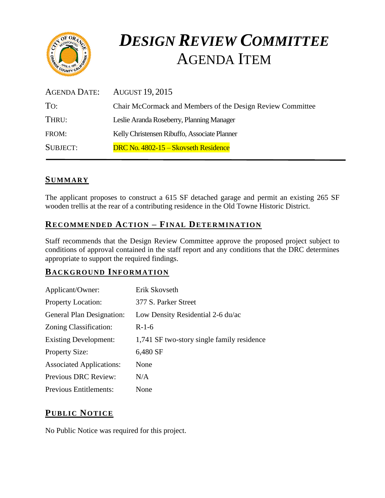

# *DESIGN REVIEW COMMITTEE*  AGENDA ITEM

| <b>AUGUST 19, 2015</b>                                     |
|------------------------------------------------------------|
| Chair McCormack and Members of the Design Review Committee |
| Leslie Aranda Roseberry, Planning Manager                  |
| Kelly Christensen Ribuffo, Associate Planner               |
| DRC No. 4802-15 – Skovseth Residence                       |
|                                                            |

#### **SUMMARY**

The applicant proposes to construct a 615 SF detached garage and permit an existing 265 SF wooden trellis at the rear of a contributing residence in the Old Towne Historic District.

# **RECOMMENDED ACTION – FINAL DETERMINATION**

Staff recommends that the Design Review Committee approve the proposed project subject to conditions of approval contained in the staff report and any conditions that the DRC determines appropriate to support the required findings.

#### **BACKGROUND INFORMATION**

| Applicant/Owner:                 | Erik Skovseth                              |
|----------------------------------|--------------------------------------------|
| <b>Property Location:</b>        | 377 S. Parker Street                       |
| <b>General Plan Designation:</b> | Low Density Residential 2-6 du/ac          |
| Zoning Classification:           | $R-1-6$                                    |
| <b>Existing Development:</b>     | 1,741 SF two-story single family residence |
| <b>Property Size:</b>            | 6,480 SF                                   |
| <b>Associated Applications:</b>  | None                                       |
| <b>Previous DRC Review:</b>      | N/A                                        |
| <b>Previous Entitlements:</b>    | None                                       |

## **PUB LIC NOTICE**

No Public Notice was required for this project.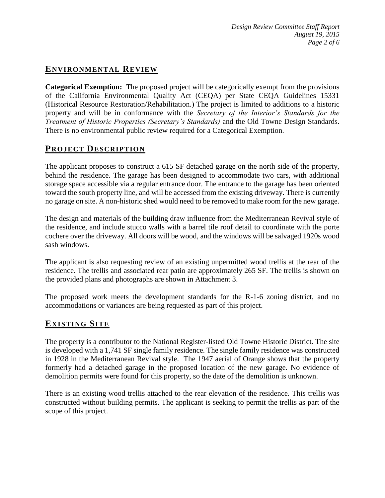# **ENVIRONMENTAL REVIEW**

**Categorical Exemption:** The proposed project will be categorically exempt from the provisions of the California Environmental Quality Act (CEQA) per State CEQA Guidelines 15331 (Historical Resource Restoration/Rehabilitation.) The project is limited to additions to a historic property and will be in conformance with the *Secretary of the Interior's Standards for the Treatment of Historic Properties (Secretary's Standards)* and the Old Towne Design Standards. There is no environmental public review required for a Categorical Exemption.

#### **PROJECT DESCRIP TION**

The applicant proposes to construct a 615 SF detached garage on the north side of the property, behind the residence. The garage has been designed to accommodate two cars, with additional storage space accessible via a regular entrance door. The entrance to the garage has been oriented toward the south property line, and will be accessed from the existing driveway. There is currently no garage on site. A non-historic shed would need to be removed to make room for the new garage.

The design and materials of the building draw influence from the Mediterranean Revival style of the residence, and include stucco walls with a barrel tile roof detail to coordinate with the porte cochere over the driveway. All doors will be wood, and the windows will be salvaged 1920s wood sash windows.

The applicant is also requesting review of an existing unpermitted wood trellis at the rear of the residence. The trellis and associated rear patio are approximately 265 SF. The trellis is shown on the provided plans and photographs are shown in Attachment 3.

The proposed work meets the development standards for the R-1-6 zoning district, and no accommodations or variances are being requested as part of this project.

#### **EXISTING SITE**

The property is a contributor to the National Register-listed Old Towne Historic District. The site is developed with a 1,741 SF single family residence. The single family residence was constructed in 1928 in the Mediterranean Revival style. The 1947 aerial of Orange shows that the property formerly had a detached garage in the proposed location of the new garage. No evidence of demolition permits were found for this property, so the date of the demolition is unknown.

There is an existing wood trellis attached to the rear elevation of the residence. This trellis was constructed without building permits. The applicant is seeking to permit the trellis as part of the scope of this project.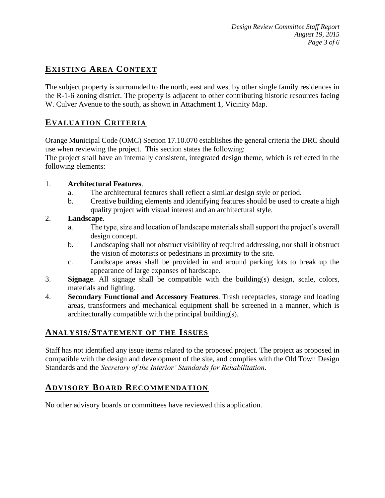# **EXISTING AREA CONTEXT**

The subject property is surrounded to the north, east and west by other single family residences in the R-1-6 zoning district. The property is adjacent to other contributing historic resources facing W. Culver Avenue to the south, as shown in Attachment 1, Vicinity Map.

## **EVALUATION CRITERIA**

Orange Municipal Code (OMC) Section 17.10.070 establishes the general criteria the DRC should use when reviewing the project. This section states the following:

The project shall have an internally consistent, integrated design theme, which is reflected in the following elements:

#### 1. **Architectural Features**.

- a. The architectural features shall reflect a similar design style or period.
- b. Creative building elements and identifying features should be used to create a high quality project with visual interest and an architectural style.

#### 2. **Landscape**.

- a. The type, size and location of landscape materials shall support the project's overall design concept.
- b. Landscaping shall not obstruct visibility of required addressing, nor shall it obstruct the vision of motorists or pedestrians in proximity to the site.
- c. Landscape areas shall be provided in and around parking lots to break up the appearance of large expanses of hardscape.
- 3. **Signage**. All signage shall be compatible with the building(s) design, scale, colors, materials and lighting.
- 4. **Secondary Functional and Accessory Features**. Trash receptacles, storage and loading areas, transformers and mechanical equipment shall be screened in a manner, which is architecturally compatible with the principal building(s).

#### **ANALY SIS/STATEMENT OF THE ISSUES**

Staff has not identified any issue items related to the proposed project. The project as proposed in compatible with the design and development of the site, and complies with the Old Town Design Standards and the *Secretary of the Interior' Standards for Rehabilitation*.

#### **ADVISORY BOARD RECOMMENDATION**

No other advisory boards or committees have reviewed this application.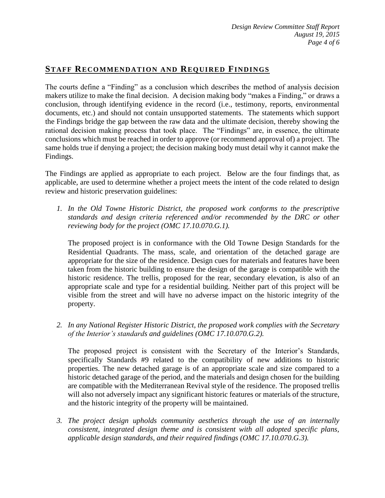## **STAFF RECOMMENDATION AND REQUIRED FINDINGS**

The courts define a "Finding" as a conclusion which describes the method of analysis decision makers utilize to make the final decision. A decision making body "makes a Finding," or draws a conclusion, through identifying evidence in the record (i.e., testimony, reports, environmental documents, etc.) and should not contain unsupported statements. The statements which support the Findings bridge the gap between the raw data and the ultimate decision, thereby showing the rational decision making process that took place. The "Findings" are, in essence, the ultimate conclusions which must be reached in order to approve (or recommend approval of) a project. The same holds true if denying a project; the decision making body must detail why it cannot make the Findings.

The Findings are applied as appropriate to each project.Below are the four findings that, as applicable, are used to determine whether a project meets the intent of the code related to design review and historic preservation guidelines:

*1. In the Old Towne Historic District, the proposed work conforms to the prescriptive standards and design criteria referenced and/or recommended by the DRC or other reviewing body for the project (OMC 17.10.070.G.1).*

The proposed project is in conformance with the Old Towne Design Standards for the Residential Quadrants. The mass, scale, and orientation of the detached garage are appropriate for the size of the residence. Design cues for materials and features have been taken from the historic building to ensure the design of the garage is compatible with the historic residence. The trellis, proposed for the rear, secondary elevation, is also of an appropriate scale and type for a residential building. Neither part of this project will be visible from the street and will have no adverse impact on the historic integrity of the property.

*2. In any National Register Historic District, the proposed work complies with the Secretary of the Interior's standards and guidelines (OMC 17.10.070.G.2).*

The proposed project is consistent with the Secretary of the Interior's Standards, specifically Standards #9 related to the compatibility of new additions to historic properties. The new detached garage is of an appropriate scale and size compared to a historic detached garage of the period, and the materials and design chosen for the building are compatible with the Mediterranean Revival style of the residence. The proposed trellis will also not adversely impact any significant historic features or materials of the structure, and the historic integrity of the property will be maintained.

*3. The project design upholds community aesthetics through the use of an internally consistent, integrated design theme and is consistent with all adopted specific plans, applicable design standards, and their required findings (OMC 17.10.070.G.3).*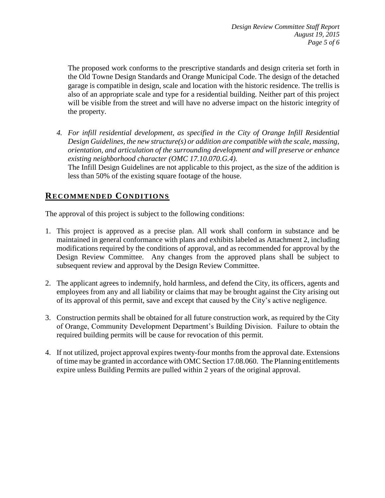The proposed work conforms to the prescriptive standards and design criteria set forth in the Old Towne Design Standards and Orange Municipal Code. The design of the detached garage is compatible in design, scale and location with the historic residence. The trellis is also of an appropriate scale and type for a residential building. Neither part of this project will be visible from the street and will have no adverse impact on the historic integrity of the property.

*4. For infill residential development, as specified in the City of Orange Infill Residential Design Guidelines, the new structure(s) or addition are compatible with the scale, massing, orientation, and articulation of the surrounding development and will preserve or enhance existing neighborhood character (OMC 17.10.070.G.4).* The Infill Design Guidelines are not applicable to this project, as the size of the addition is less than 50% of the existing square footage of the house.

## **RECOMMENDED CONDITIONS**

The approval of this project is subject to the following conditions:

- 1. This project is approved as a precise plan. All work shall conform in substance and be maintained in general conformance with plans and exhibits labeled as Attachment 2, including modifications required by the conditions of approval, and as recommended for approval by the Design Review Committee. Any changes from the approved plans shall be subject to subsequent review and approval by the Design Review Committee.
- 2. The applicant agrees to indemnify, hold harmless, and defend the City, its officers, agents and employees from any and all liability or claims that may be brought against the City arising out of its approval of this permit, save and except that caused by the City's active negligence.
- 3. Construction permits shall be obtained for all future construction work, as required by the City of Orange, Community Development Department's Building Division. Failure to obtain the required building permits will be cause for revocation of this permit.
- 4. If not utilized, project approval expires twenty-four months from the approval date. Extensions of time may be granted in accordance with OMC Section 17.08.060. The Planning entitlements expire unless Building Permits are pulled within 2 years of the original approval.